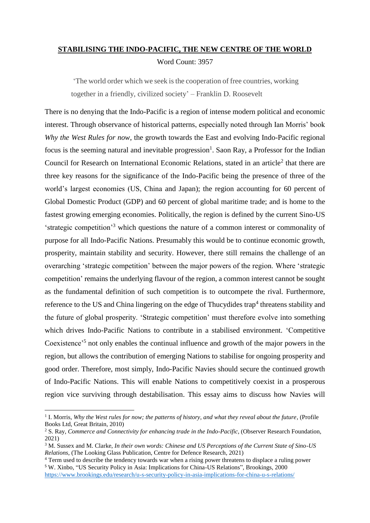## **STABILISING THE INDO-PACIFIC, THE NEW CENTRE OF THE WORLD** Word Count: 3957

'The world order which we seek is the cooperation of free countries, working together in a friendly, civilized society' – Franklin D. Roosevelt

There is no denying that the Indo-Pacific is a region of intense modern political and economic interest. Through observance of historical patterns, especially noted through Ian Morris' book *Why the West Rules for now*, the growth towards the East and evolving Indo-Pacific regional focus is the seeming natural and inevitable progression<sup>1</sup>. Saon Ray, a Professor for the Indian Council for Research on International Economic Relations, stated in an article<sup>2</sup> that there are three key reasons for the significance of the Indo-Pacific being the presence of three of the world's largest economies (US, China and Japan); the region accounting for 60 percent of Global Domestic Product (GDP) and 60 percent of global maritime trade; and is home to the fastest growing emerging economies. Politically, the region is defined by the current Sino-US 'strategic competition'<sup>3</sup> which questions the nature of a common interest or commonality of purpose for all Indo-Pacific Nations. Presumably this would be to continue economic growth, prosperity, maintain stability and security. However, there still remains the challenge of an overarching 'strategic competition' between the major powers of the region. Where 'strategic competition' remains the underlying flavour of the region, a common interest cannot be sought as the fundamental definition of such competition is to outcompete the rival. Furthermore, reference to the US and China lingering on the edge of Thucydides trap<sup>4</sup> threatens stability and the future of global prosperity. 'Strategic competition' must therefore evolve into something which drives Indo-Pacific Nations to contribute in a stabilised environment. 'Competitive Coexistence<sup>5</sup> not only enables the continual influence and growth of the major powers in the region, but allows the contribution of emerging Nations to stabilise for ongoing prosperity and good order. Therefore, most simply, Indo-Pacific Navies should secure the continued growth of Indo-Pacific Nations. This will enable Nations to competitively coexist in a prosperous region vice surviving through destabilisation. This essay aims to discuss how Navies will

**<sup>.</sup>** <sup>1</sup> I. Morris, *Why the West rules for now; the patterns of history, and what they reveal about the future, (Profile* Books Ltd, Great Britain, 2010)

<sup>2</sup> S. Ray, *Commerce and Connectivity for enhancing trade in the Indo-Pacific*, (Observer Research Foundation, 2021)

<sup>3</sup> M. Sussex and M. Clarke, *In their own words: Chinese and US Perceptions of the Current State of Sino-US Relations*, (The Looking Glass Publication, Centre for Defence Research, 2021)

<sup>4</sup> Term used to describe the tendency towards war when a rising power threatens to displace a ruling power <sup>5</sup> W. Xinbo, "US Security Policy in Asia: Implications for China-US Relations"*,* Brookings, 2000 <https://www.brookings.edu/research/u-s-security-policy-in-asia-implications-for-china-u-s-relations/>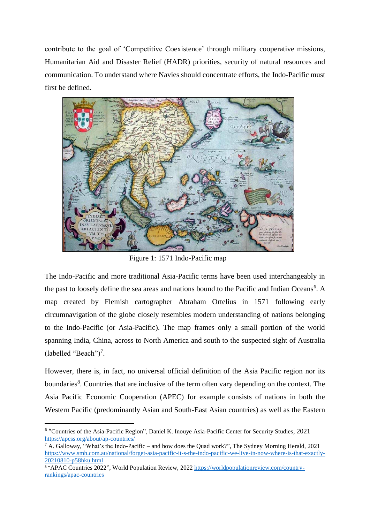contribute to the goal of 'Competitive Coexistence' through military cooperative missions, Humanitarian Aid and Disaster Relief (HADR) priorities, security of natural resources and communication. To understand where Navies should concentrate efforts, the Indo-Pacific must first be defined.



Figure 1: 1571 Indo-Pacific map

The Indo-Pacific and more traditional Asia-Pacific terms have been used interchangeably in the past to loosely define the sea areas and nations bound to the Pacific and Indian Oceans<sup>6</sup>. A map created by Flemish cartographer Abraham Ortelius in 1571 following early circumnavigation of the globe closely resembles modern understanding of nations belonging to the Indo-Pacific (or Asia-Pacific). The map frames only a small portion of the world spanning India, China, across to North America and south to the suspected sight of Australia (labelled "Beach")<sup>7</sup>.

However, there is, in fact, no universal official definition of the Asia Pacific region nor its boundaries<sup>8</sup>. Countries that are inclusive of the term often vary depending on the context. The Asia Pacific Economic Cooperation (APEC) for example consists of nations in both the Western Pacific (predominantly Asian and South-East Asian countries) as well as the Eastern

1

<sup>&</sup>lt;sup>6</sup> "Countries of the Asia-Pacific Region", Daniel K. Inouye Asia-Pacific Center for Security Studies, 2021 <https://apcss.org/about/ap-countries/>

<sup>7</sup> A. Galloway, "What's the Indo-Pacific – and how does the Quad work?", The Sydney Morning Herald, 2021 [https://www.smh.com.au/national/forget-asia-pacific-it-s-the-indo-pacific-we-live-in-now-where-is-that-exactly-](https://www.smh.com.au/national/forget-asia-pacific-it-s-the-indo-pacific-we-live-in-now-where-is-that-exactly-20210810-p58hku.html)[20210810-p58hku.html](https://www.smh.com.au/national/forget-asia-pacific-it-s-the-indo-pacific-we-live-in-now-where-is-that-exactly-20210810-p58hku.html)

<sup>8</sup> "APAC Countries 2022", World Population Review, 2022 [https://worldpopulationreview.com/country](https://worldpopulationreview.com/country-rankings/apac-countries)[rankings/apac-countries](https://worldpopulationreview.com/country-rankings/apac-countries)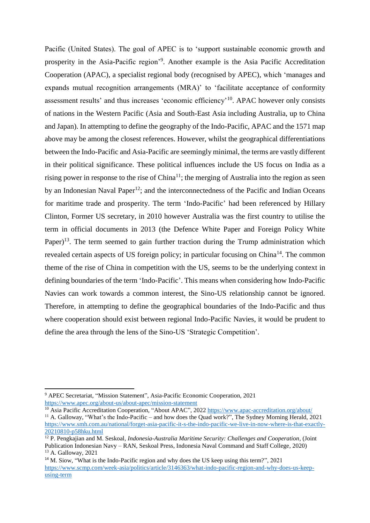Pacific (United States). The goal of APEC is to 'support sustainable economic growth and prosperity in the Asia-Pacific region<sup>'9</sup>. Another example is the Asia Pacific Accreditation Cooperation (APAC), a specialist regional body (recognised by APEC), which 'manages and expands mutual recognition arrangements (MRA)' to 'facilitate acceptance of conformity assessment results' and thus increases 'economic efficiency'<sup>10</sup>. APAC however only consists of nations in the Western Pacific (Asia and South-East Asia including Australia, up to China and Japan). In attempting to define the geography of the Indo-Pacific, APAC and the 1571 map above may be among the closest references. However, whilst the geographical differentiations between the Indo-Pacific and Asia-Pacific are seemingly minimal, the terms are vastly different in their political significance. These political influences include the US focus on India as a rising power in response to the rise of  $China<sup>11</sup>$ ; the merging of Australia into the region as seen by an Indonesian Naval Paper<sup>12</sup>; and the interconnectedness of the Pacific and Indian Oceans for maritime trade and prosperity. The term 'Indo-Pacific' had been referenced by Hillary Clinton, Former US secretary, in 2010 however Australia was the first country to utilise the term in official documents in 2013 (the Defence White Paper and Foreign Policy White Paper)<sup>13</sup>. The term seemed to gain further traction during the Trump administration which revealed certain aspects of US foreign policy; in particular focusing on China<sup>14</sup>. The common theme of the rise of China in competition with the US, seems to be the underlying context in defining boundaries of the term 'Indo-Pacific'. This means when considering how Indo-Pacific Navies can work towards a common interest, the Sino-US relationship cannot be ignored. Therefore, in attempting to define the geographical boundaries of the Indo-Pacific and thus where cooperation should exist between regional Indo-Pacific Navies, it would be prudent to define the area through the lens of the Sino-US 'Strategic Competition'.

<sup>9</sup> APEC Secretariat, "Mission Statement", Asia-Pacific Economic Cooperation, 2021 <https://www.apec.org/about-us/about-apec/mission-statement>

<sup>10</sup> Asia Pacific Accreditation Cooperation, "About APAC", 2022 <https://www.apac-accreditation.org/about/> <sup>11</sup> A. Galloway, "What's the Indo-Pacific – and how does the Quad work?", The Sydney Morning Herald, 2021 [https://www.smh.com.au/national/forget-asia-pacific-it-s-the-indo-pacific-we-live-in-now-where-is-that-exactly-](https://www.smh.com.au/national/forget-asia-pacific-it-s-the-indo-pacific-we-live-in-now-where-is-that-exactly-20210810-p58hku.html)[20210810-p58hku.html](https://www.smh.com.au/national/forget-asia-pacific-it-s-the-indo-pacific-we-live-in-now-where-is-that-exactly-20210810-p58hku.html)

<sup>12</sup> P. Pengkajian and M. Seskoal, *Indonesia-Australia Maritime Security: Challenges and Cooperation*, (Joint Publication Indonesian Navy – RAN, Seskoal Press, Indonesia Naval Command and Staff College, 2020) <sup>13</sup> A. Galloway, 2021

<sup>&</sup>lt;sup>14</sup> M. Siow, "What is the Indo-Pacific region and why does the US keep using this term?", 2021 [https://www.scmp.com/week-asia/politics/article/3146363/what-indo-pacific-region-and-why-does-us-keep](https://www.scmp.com/week-asia/politics/article/3146363/what-indo-pacific-region-and-why-does-us-keep-using-term)[using-term](https://www.scmp.com/week-asia/politics/article/3146363/what-indo-pacific-region-and-why-does-us-keep-using-term)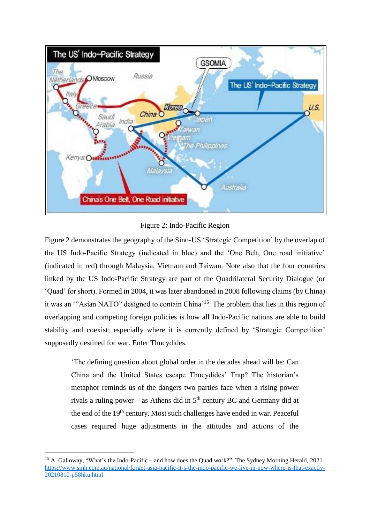

Figure 2: Indo-Pacific Region

Figure 2 demonstrates the geography of the Sino-US 'Strategic Competition' by the overlap of the US Indo-Pacific Strategy (indicated in blue) and the 'One Belt, One road initiative' (indicated in red) through Malaysia, Vietnam and Taiwan. Note also that the four countries linked by the US Indo-Pacific Strategy are part of the Quadrilateral Security Dialogue (or 'Quad' for short). Formed in 2004, it was later abandoned in 2008 following claims (by China) it was an "Asian NATO" designed to contain China<sup>'15</sup>. The problem that lies in this region of overlapping and competing foreign policies is how all Indo-Pacific nations are able to build stability and coexist; especially where it is currently defined by 'Strategic Competition' supposedly destined for war. Enter Thucydides.

'The defining question about global order in the decades ahead will be: Can China and the United States escape Thucydides' Trap? The historian's metaphor reminds us of the dangers two parties face when a rising power rivals a ruling power – as Athens did in  $5<sup>th</sup>$  century BC and Germany did at the end of the  $19<sup>th</sup>$  century. Most such challenges have ended in war. Peaceful cases required huge adjustments in the attitudes and actions of the

<sup>&</sup>lt;sup>15</sup> A. Galloway, "What's the Indo-Pacific – and how does the Quad work?", The Sydney Morning Herald, 2021 [https://www.smh.com.au/national/forget-asia-pacific-it-s-the-indo-pacific-we-live-in-now-where-is-that-exactly-](https://www.smh.com.au/national/forget-asia-pacific-it-s-the-indo-pacific-we-live-in-now-where-is-that-exactly-20210810-p58hku.html)[20210810-p58hku.html](https://www.smh.com.au/national/forget-asia-pacific-it-s-the-indo-pacific-we-live-in-now-where-is-that-exactly-20210810-p58hku.html)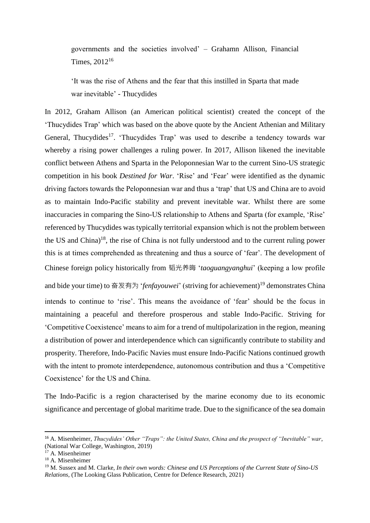governments and the societies involved' – Grahamn Allison, Financial Times, 2012<sup>16</sup>

'It was the rise of Athens and the fear that this instilled in Sparta that made war inevitable' - Thucydides

In 2012, Graham Allison (an American political scientist) created the concept of the 'Thucydides Trap' which was based on the above quote by the Ancient Athenian and Military General, Thucydides<sup>17</sup>. 'Thucydides Trap' was used to describe a tendency towards war whereby a rising power challenges a ruling power. In 2017, Allison likened the inevitable conflict between Athens and Sparta in the Peloponnesian War to the current Sino-US strategic competition in his book *Destined for War*. 'Rise' and 'Fear' were identified as the dynamic driving factors towards the Peloponnesian war and thus a 'trap' that US and China are to avoid as to maintain Indo-Pacific stability and prevent inevitable war. Whilst there are some inaccuracies in comparing the Sino-US relationship to Athens and Sparta (for example, 'Rise' referenced by Thucydides was typically territorial expansion which is not the problem between the US and China)<sup>18</sup>, the rise of China is not fully understood and to the current ruling power this is at times comprehended as threatening and thus a source of 'fear'. The development of Chinese foreign policy historically from 韬光养晦 '*taoguangyanghui*' (keeping a low profile and bide your time) to 奋发有为 '*fenfayouwei*' (striving for achievement)<sup>19</sup> demonstrates China intends to continue to 'rise'. This means the avoidance of 'fear' should be the focus in maintaining a peaceful and therefore prosperous and stable Indo-Pacific. Striving for 'Competitive Coexistence' means to aim for a trend of multipolarization in the region, meaning a distribution of power and interdependence which can significantly contribute to stability and prosperity. Therefore, Indo-Pacific Navies must ensure Indo-Pacific Nations continued growth with the intent to promote interdependence, autonomous contribution and thus a 'Competitive Coexistence' for the US and China.

The Indo-Pacific is a region characterised by the marine economy due to its economic significance and percentage of global maritime trade. Due to the significance of the sea domain

<sup>16</sup> A. Misenheimer, *Thucydides' Other "Traps": the United States, China and the prospect of "Inevitable" war*, (National War College, Washington, 2019)

A. Misenheimer

<sup>18</sup> A. Misenheimer

<sup>19</sup> M. Sussex and M. Clarke, *In their own words: Chinese and US Perceptions of the Current State of Sino-US Relations*, (The Looking Glass Publication, Centre for Defence Research, 2021)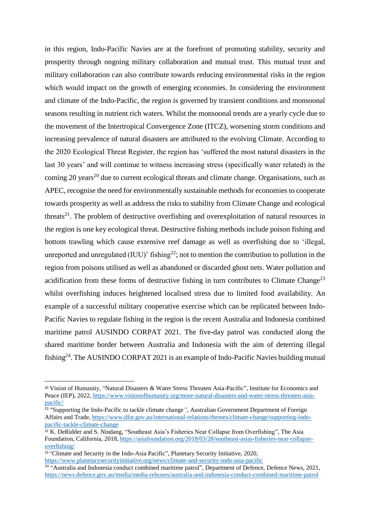in this region, Indo-Pacific Navies are at the forefront of promoting stability, security and prosperity through ongoing military collaboration and mutual trust. This mutual trust and military collaboration can also contribute towards reducing environmental risks in the region which would impact on the growth of emerging economies. In considering the environment and climate of the Indo-Pacific, the region is governed by transient conditions and monsoonal seasons resulting in nutrient rich waters. Whilst the monsoonal trends are a yearly cycle due to the movement of the Intertropical Convergence Zone (ITCZ), worsening storm conditions and increasing prevalence of natural disasters are attributed to the evolving Climate. According to the 2020 Ecological Threat Register, the region has 'suffered the most natural disasters in the last 30 years' and will continue to witness increasing stress (specifically water related) in the coming 20 years<sup>20</sup> due to current ecological threats and climate change. Organisations, such as APEC, recognise the need for environmentally sustainable methods for economies to cooperate towards prosperity as well as address the risks to stability from Climate Change and ecological threats<sup>21</sup>. The problem of destructive overfishing and overexploitation of natural resources in the region is one key ecological threat. Destructive fishing methods include poison fishing and bottom trawling which cause extensive reef damage as well as overfishing due to 'illegal, unreported and unregulated (IUU)' fishing<sup>22</sup>; not to mention the contribution to pollution in the region from poisons utilised as well as abandoned or discarded ghost nets. Water pollution and acidification from these forms of destructive fishing in turn contributes to Climate Change<sup>23</sup> whilst overfishing induces heightened localised stress due to limited food availability. An example of a successful military cooperative exercise which can be replicated between Indo-Pacific Navies to regulate fishing in the region is the recent Australia and Indonesia combined maritime patrol AUSINDO CORPAT 2021. The five-day patrol was conducted along the shared maritime border between Australia and Indonesia with the aim of deterring illegal fishing<sup>24</sup>. The AUSINDO CORPAT 2021 is an example of Indo-Pacific Navies building mutual

<sup>20</sup> Vision of Humanity, "Natural Disasters & Water Stress Threaten Asia-Pacific", Institute for Economics and Peace (IEP), 2022, [https://www.visionofhumanity.org/more-natural-disasters-and-water-stress-threaten-asia](https://www.visionofhumanity.org/more-natural-disasters-and-water-stress-threaten-asia-pacific/)[pacific/](https://www.visionofhumanity.org/more-natural-disasters-and-water-stress-threaten-asia-pacific/)

<sup>21</sup> "Supporting the Indo-Pacific to tackle climate change*",* Australian Government Department of Foreign Affairs and Trade, [https://www.dfat.gov.au/international-relations/themes/climate-change/supporting-indo](https://www.dfat.gov.au/international-relations/themes/climate-change/supporting-indo-pacific-tackle-climate-change)[pacific-tackle-climate-change](https://www.dfat.gov.au/international-relations/themes/climate-change/supporting-indo-pacific-tackle-climate-change)

<sup>&</sup>lt;sup>22</sup> K. DeRidder and S. Nindang, "Southeast Asia's Fisheries Near Collapse from Overfishing", The Asia Foundation, California, 2018, [https://asiafoundation.org/2018/03/28/southeast-asias-fisheries-near-collapse](https://asiafoundation.org/2018/03/28/southeast-asias-fisheries-near-collapse-overfishing/)[overfishing/](https://asiafoundation.org/2018/03/28/southeast-asias-fisheries-near-collapse-overfishing/)

<sup>&</sup>lt;sup>23</sup> "Climate and Security in the Indo-Asia Pacific", Planetary Security Initiative, 2020, <https://www.planetarysecurityinitiative.org/news/climate-and-security-indo-asia-pacific>

<sup>&</sup>lt;sup>24</sup> "Australia and Indonesia conduct combined maritime patrol", Department of Defence, Defence News, 2021, <https://news.defence.gov.au/media/media-releases/australia-and-indonesia-conduct-combined-maritime-patrol>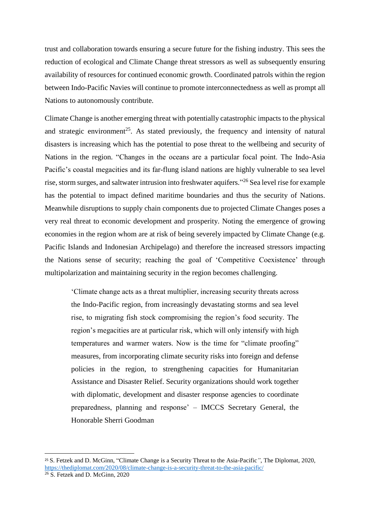trust and collaboration towards ensuring a secure future for the fishing industry. This sees the reduction of ecological and Climate Change threat stressors as well as subsequently ensuring availability of resources for continued economic growth. Coordinated patrols within the region between Indo-Pacific Navies will continue to promote interconnectedness as well as prompt all Nations to autonomously contribute.

Climate Change is another emerging threat with potentially catastrophic impacts to the physical and strategic environment<sup>25</sup>. As stated previously, the frequency and intensity of natural disasters is increasing which has the potential to pose threat to the wellbeing and security of Nations in the region. "Changes in the oceans are a particular focal point. The Indo-Asia Pacific's coastal megacities and its far-flung island nations are highly vulnerable to sea level rise, storm surges, and saltwater intrusion into freshwater aquifers."<sup>26</sup> Sea level rise for example has the potential to impact defined maritime boundaries and thus the security of Nations. Meanwhile disruptions to supply chain components due to projected Climate Changes poses a very real threat to economic development and prosperity. Noting the emergence of growing economies in the region whom are at risk of being severely impacted by Climate Change (e.g. Pacific Islands and Indonesian Archipelago) and therefore the increased stressors impacting the Nations sense of security; reaching the goal of 'Competitive Coexistence' through multipolarization and maintaining security in the region becomes challenging.

'Climate change acts as a threat multiplier, increasing security threats across the Indo-Pacific region, from increasingly devastating storms and sea level rise, to migrating fish stock compromising the region's food security. The region's megacities are at particular risk, which will only intensify with high temperatures and warmer waters. Now is the time for "climate proofing" measures, from incorporating climate security risks into foreign and defense policies in the region, to strengthening capacities for Humanitarian Assistance and Disaster Relief. Security organizations should work together with diplomatic, development and disaster response agencies to coordinate preparedness, planning and response' – IMCCS Secretary General, the Honorable Sherri Goodman

<sup>25</sup> S. Fetzek and D. McGinn, "Climate Change is a Security Threat to the Asia-Pacific*"*, The Diplomat, 2020, <https://thediplomat.com/2020/08/climate-change-is-a-security-threat-to-the-asia-pacific/>  $26$  S. Fetzek and D. McGinn, 2020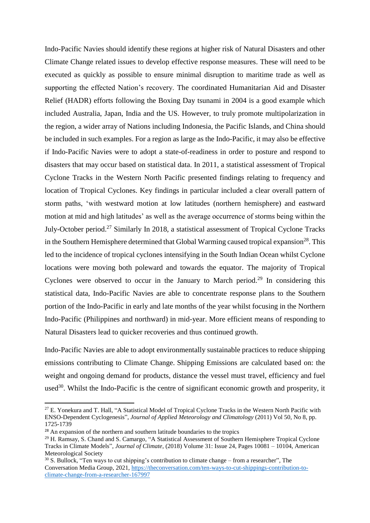Indo-Pacific Navies should identify these regions at higher risk of Natural Disasters and other Climate Change related issues to develop effective response measures. These will need to be executed as quickly as possible to ensure minimal disruption to maritime trade as well as supporting the effected Nation's recovery. The coordinated Humanitarian Aid and Disaster Relief (HADR) efforts following the Boxing Day tsunami in 2004 is a good example which included Australia, Japan, India and the US. However, to truly promote multipolarization in the region, a wider array of Nations including Indonesia, the Pacific Islands, and China should be included in such examples. For a region as large as the Indo-Pacific, it may also be effective if Indo-Pacific Navies were to adopt a state-of-readiness in order to posture and respond to disasters that may occur based on statistical data. In 2011, a statistical assessment of Tropical Cyclone Tracks in the Western North Pacific presented findings relating to frequency and location of Tropical Cyclones. Key findings in particular included a clear overall pattern of storm paths, 'with westward motion at low latitudes (northern hemisphere) and eastward motion at mid and high latitudes' as well as the average occurrence of storms being within the July-October period.<sup>27</sup> Similarly In 2018, a statistical assessment of Tropical Cyclone Tracks in the Southern Hemisphere determined that Global Warming caused tropical expansion<sup>28</sup>. This led to the incidence of tropical cyclones intensifying in the South Indian Ocean whilst Cyclone locations were moving both poleward and towards the equator. The majority of Tropical Cyclones were observed to occur in the January to March period.<sup>29</sup> In considering this statistical data, Indo-Pacific Navies are able to concentrate response plans to the Southern portion of the Indo-Pacific in early and late months of the year whilst focusing in the Northern Indo-Pacific (Philippines and northward) in mid-year. More efficient means of responding to Natural Disasters lead to quicker recoveries and thus continued growth.

Indo-Pacific Navies are able to adopt environmentally sustainable practices to reduce shipping emissions contributing to Climate Change. Shipping Emissions are calculated based on: the weight and ongoing demand for products, distance the vessel must travel, efficiency and fuel used<sup>30</sup>. Whilst the Indo-Pacific is the centre of significant economic growth and prosperity, it

<sup>&</sup>lt;sup>27</sup> E. Yonekura and T. Hall, "A Statistical Model of Tropical Cyclone Tracks in the Western North Pacific with ENSO-Dependent Cyclogenesis", *Journal of Applied Meteorology and Climatology* (2011) Vol 50, No 8, pp. 1725-1739

<sup>&</sup>lt;sup>28</sup> An expansion of the northern and southern latitude boundaries to the tropics

<sup>&</sup>lt;sup>29</sup> H. Ramsay, S. Chand and S. Camargo, "A Statistical Assessment of Southern Hemisphere Tropical Cyclone Tracks in Climate Models", *Journal of Climate*, (2018) Volume 31: Issue 24, Pages 10081 – 10104, American Meteorological Society

 $30$  S. Bullock, "Ten ways to cut shipping's contribution to climate change – from a researcher", The Conversation Media Group, 2021, [https://theconversation.com/ten-ways-to-cut-shippings-contribution-to](https://theconversation.com/ten-ways-to-cut-shippings-contribution-to-climate-change-from-a-researcher-167997)[climate-change-from-a-researcher-167997](https://theconversation.com/ten-ways-to-cut-shippings-contribution-to-climate-change-from-a-researcher-167997)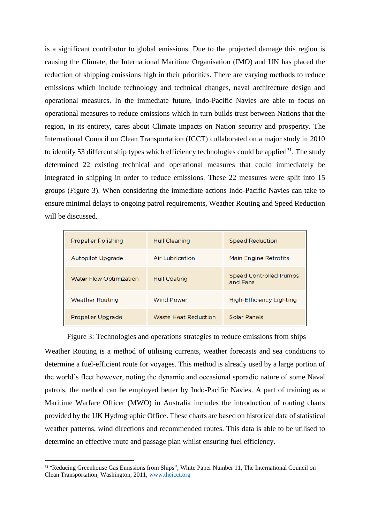is a significant contributor to global emissions. Due to the projected damage this region is causing the Climate, the International Maritime Organisation (IMO) and UN has placed the reduction of shipping emissions high in their priorities. There are varying methods to reduce emissions which include technology and technical changes, naval architecture design and operational measures. In the immediate future, Indo-Pacific Navies are able to focus on operational measures to reduce emissions which in turn builds trust between Nations that the region, in its entirety, cares about Climate impacts on Nation security and prosperity. The International Council on Clean Transportation (ICCT) collaborated on a major study in 2010 to identify 53 different ship types which efficiency technologies could be applied $31$ . The study determined 22 existing technical and operational measures that could immediately be integrated in shipping in order to reduce emissions. These 22 measures were split into 15 groups (Figure 3). When considering the immediate actions Indo-Pacific Navies can take to ensure minimal delays to ongoing patrol requirements, Weather Routing and Speed Reduction will be discussed.

| <b>Propeller Polishing</b>     | <b>Hull Cleaning</b>   | <b>Speed Reduction</b>                    |
|--------------------------------|------------------------|-------------------------------------------|
| <b>Autopilot Upgrade</b>       | <b>Air Lubrication</b> | Main Engine Retrofits                     |
| <b>Water Flow Optimization</b> | <b>Hull Coating</b>    | <b>Speed Controlled Pumps</b><br>and Fans |
| <b>Weather Routing</b>         | <b>Wind Power</b>      | <b>High-Efficiency Lighting</b>           |
| Propeller Upgrade              | Waste Heat Reduction   | <b>Solar Panels</b>                       |

## Figure 3: Technologies and operations strategies to reduce emissions from ships

Weather Routing is a method of utilising currents, weather forecasts and sea conditions to determine a fuel-efficient route for voyages. This method is already used by a large portion of the world's fleet however, noting the dynamic and occasional sporadic nature of some Naval patrols, the method can be employed better by Indo-Pacific Navies. A part of training as a Maritime Warfare Officer (MWO) in Australia includes the introduction of routing charts provided by the UK Hydrographic Office. These charts are based on historical data of statistical weather patterns, wind directions and recommended routes. This data is able to be utilised to determine an effective route and passage plan whilst ensuring fuel efficiency.

<sup>&</sup>lt;sup>31</sup> "Reducing Greenhouse Gas Emissions from Ships", White Paper Number 11, The International Council on Clean Transportation, Washington, 2011, [www.theicct.org](http://www.theicct.org/)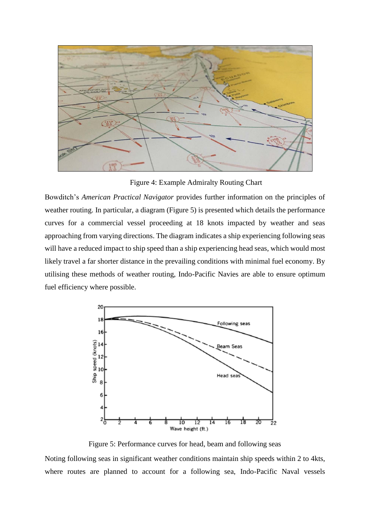

Figure 4: Example Admiralty Routing Chart

Bowditch's *American Practical Navigator* provides further information on the principles of weather routing. In particular, a diagram (Figure 5) is presented which details the performance curves for a commercial vessel proceeding at 18 knots impacted by weather and seas approaching from varying directions. The diagram indicates a ship experiencing following seas will have a reduced impact to ship speed than a ship experiencing head seas, which would most likely travel a far shorter distance in the prevailing conditions with minimal fuel economy. By utilising these methods of weather routing, Indo-Pacific Navies are able to ensure optimum fuel efficiency where possible.



Figure 5: Performance curves for head, beam and following seas

Noting following seas in significant weather conditions maintain ship speeds within 2 to 4kts, where routes are planned to account for a following sea, Indo-Pacific Naval vessels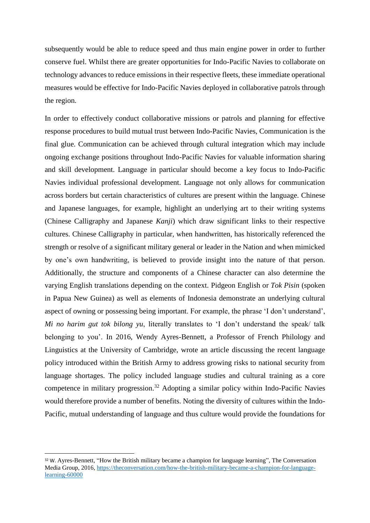subsequently would be able to reduce speed and thus main engine power in order to further conserve fuel. Whilst there are greater opportunities for Indo-Pacific Navies to collaborate on technology advances to reduce emissions in their respective fleets, these immediate operational measures would be effective for Indo-Pacific Navies deployed in collaborative patrols through the region.

In order to effectively conduct collaborative missions or patrols and planning for effective response procedures to build mutual trust between Indo-Pacific Navies, Communication is the final glue. Communication can be achieved through cultural integration which may include ongoing exchange positions throughout Indo-Pacific Navies for valuable information sharing and skill development. Language in particular should become a key focus to Indo-Pacific Navies individual professional development. Language not only allows for communication across borders but certain characteristics of cultures are present within the language. Chinese and Japanese languages, for example, highlight an underlying art to their writing systems (Chinese Calligraphy and Japanese *Kanji*) which draw significant links to their respective cultures. Chinese Calligraphy in particular, when handwritten, has historically referenced the strength or resolve of a significant military general or leader in the Nation and when mimicked by one's own handwriting, is believed to provide insight into the nature of that person. Additionally, the structure and components of a Chinese character can also determine the varying English translations depending on the context. Pidgeon English or *Tok Pisin* (spoken in Papua New Guinea) as well as elements of Indonesia demonstrate an underlying cultural aspect of owning or possessing being important. For example, the phrase 'I don't understand', *Mi no harim gut tok bilong yu*, literally translates to 'I don't understand the speak/ talk belonging to you'. In 2016, Wendy Ayres-Bennett, a Professor of French Philology and Linguistics at the University of Cambridge, wrote an article discussing the recent language policy introduced within the British Army to address growing risks to national security from language shortages. The policy included language studies and cultural training as a core competence in military progression.<sup>32</sup> Adopting a similar policy within Indo-Pacific Navies would therefore provide a number of benefits. Noting the diversity of cultures within the Indo-Pacific, mutual understanding of language and thus culture would provide the foundations for

<sup>32</sup> W. Ayres-Bennett, "How the British military became a champion for language learning", The Conversation Media Group, 2016, [https://theconversation.com/how-the-british-military-became-a-champion-for-language](https://theconversation.com/how-the-british-military-became-a-champion-for-language-learning-60000)[learning-60000](https://theconversation.com/how-the-british-military-became-a-champion-for-language-learning-60000)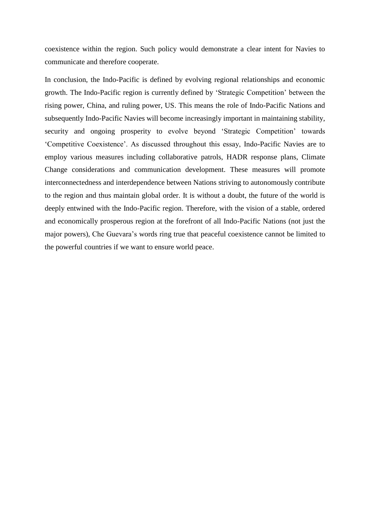coexistence within the region. Such policy would demonstrate a clear intent for Navies to communicate and therefore cooperate.

In conclusion, the Indo-Pacific is defined by evolving regional relationships and economic growth. The Indo-Pacific region is currently defined by 'Strategic Competition' between the rising power, China, and ruling power, US. This means the role of Indo-Pacific Nations and subsequently Indo-Pacific Navies will become increasingly important in maintaining stability, security and ongoing prosperity to evolve beyond 'Strategic Competition' towards 'Competitive Coexistence'. As discussed throughout this essay, Indo-Pacific Navies are to employ various measures including collaborative patrols, HADR response plans, Climate Change considerations and communication development. These measures will promote interconnectedness and interdependence between Nations striving to autonomously contribute to the region and thus maintain global order. It is without a doubt, the future of the world is deeply entwined with the Indo-Pacific region. Therefore, with the vision of a stable, ordered and economically prosperous region at the forefront of all Indo-Pacific Nations (not just the major powers), Che Guevara's words ring true that peaceful coexistence cannot be limited to the powerful countries if we want to ensure world peace.